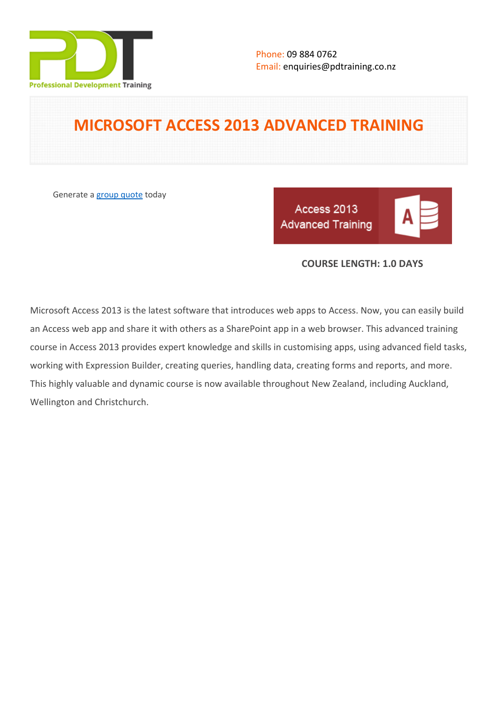

# **MICROSOFT ACCESS 2013 ADVANCED TRAINING**

Generate a [group quote](https://pdtraining.co.nz/inhouse-training-quote?cse=501) today

Access 2013 **Advanced Training** 

|--|--|

## **COURSE LENGTH: 1.0 DAYS**

Microsoft Access 2013 is the latest software that introduces web apps to Access. Now, you can easily build an Access web app and share it with others as a SharePoint app in a web browser. This advanced training course in Access 2013 provides expert knowledge and skills in customising apps, using advanced field tasks, working with Expression Builder, creating queries, handling data, creating forms and reports, and more. This highly valuable and dynamic course is now available throughout New Zealand, including Auckland, Wellington and Christchurch.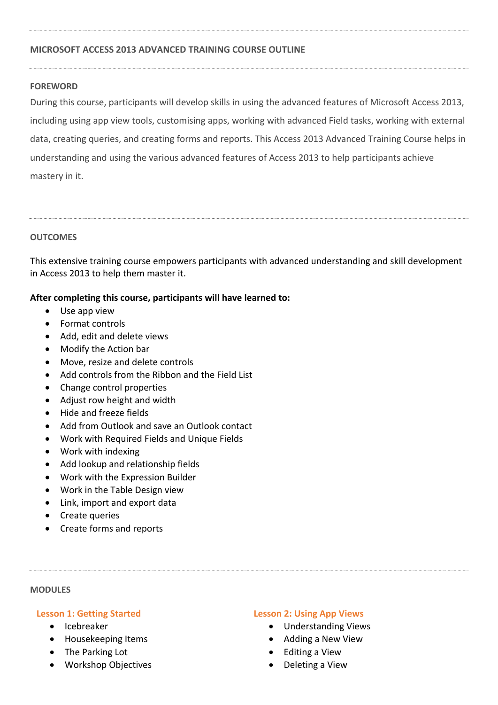### **MICROSOFT ACCESS 2013 ADVANCED TRAINING COURSE OUTLINE**

#### **FOREWORD**

During this course, participants will develop skills in using the advanced features of Microsoft Access 2013, including using app view tools, customising apps, working with advanced Field tasks, working with external data, creating queries, and creating forms and reports. This Access 2013 Advanced Training Course helps in understanding and using the various advanced features of Access 2013 to help participants achieve mastery in it.

#### **OUTCOMES**

This extensive training course empowers participants with advanced understanding and skill development in Access 2013 to help them master it.

### **After completing this course, participants will have learned to:**

- Use app view
- Format controls
- Add, edit and delete views
- Modify the Action bar
- Move, resize and delete controls
- Add controls from the Ribbon and the Field List
- Change control properties
- Adjust row height and width
- Hide and freeze fields
- Add from Outlook and save an Outlook contact
- Work with Required Fields and Unique Fields
- Work with indexing
- Add lookup and relationship fields
- Work with the Expression Builder
- Work in the Table Design view
- Link, import and export data
- Create queries
- Create forms and reports

#### **MODULES**

#### **Lesson 1: Getting Started**

- Icebreaker
- Housekeeping Items
- The Parking Lot
- Workshop Objectives

#### **Lesson 2: Using App Views**

- Understanding Views
- Adding a New View
- Editing a View
- Deleting a View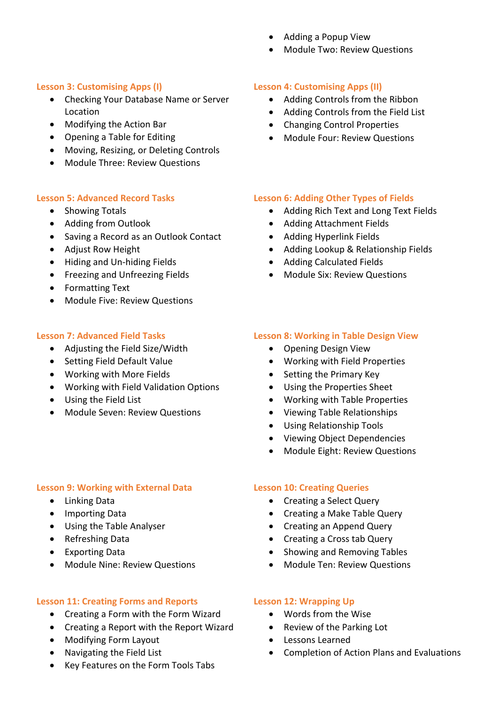- Adding a Popup View
- Module Two: Review Questions

## **Lesson 3: Customising Apps (I)**

- Checking Your Database Name or Server Location
- Modifying the Action Bar
- Opening a Table for Editing
- Moving, Resizing, or Deleting Controls
- Module Three: Review Questions

## **Lesson 5: Advanced Record Tasks**

- Showing Totals
- Adding from Outlook
- Saving a Record as an Outlook Contact
- Adjust Row Height
- Hiding and Un-hiding Fields
- **•** Freezing and Unfreezing Fields
- Formatting Text
- Module Five: Review Questions

## **Lesson 7: Advanced Field Tasks**

- Adjusting the Field Size/Width
- Setting Field Default Value
- Working with More Fields
- Working with Field Validation Options
- Using the Field List
- Module Seven: Review Questions

## **Lesson 9: Working with External Data**

- Linking Data
- Importing Data
- Using the Table Analyser
- Refreshing Data
- Exporting Data
- Module Nine: Review Questions

## **Lesson 11: Creating Forms and Reports**

- Creating a Form with the Form Wizard
- Creating a Report with the Report Wizard
- Modifying Form Layout
- Navigating the Field List
- Key Features on the Form Tools Tabs

## **Lesson 4: Customising Apps (II)**

- Adding Controls from the Ribbon
- Adding Controls from the Field List
- Changing Control Properties
- Module Four: Review Questions

## **Lesson 6: Adding Other Types of Fields**

- Adding Rich Text and Long Text Fields
- Adding Attachment Fields
- Adding Hyperlink Fields
- Adding Lookup & Relationship Fields
- Adding Calculated Fields
- Module Six: Review Questions

### **Lesson 8: Working in Table Design View**

- Opening Design View
- Working with Field Properties
- Setting the Primary Key
- Using the Properties Sheet
- Working with Table Properties
- Viewing Table Relationships
- Using Relationship Tools
- Viewing Object Dependencies
- Module Eight: Review Questions

#### **Lesson 10: Creating Queries**

- Creating a Select Query
- Creating a Make Table Query
- Creating an Append Query
- Creating a Cross tab Query
- Showing and Removing Tables
- Module Ten: Review Questions

## **Lesson 12: Wrapping Up**

- Words from the Wise
- Review of the Parking Lot
- Lessons Learned
- Completion of Action Plans and Evaluations